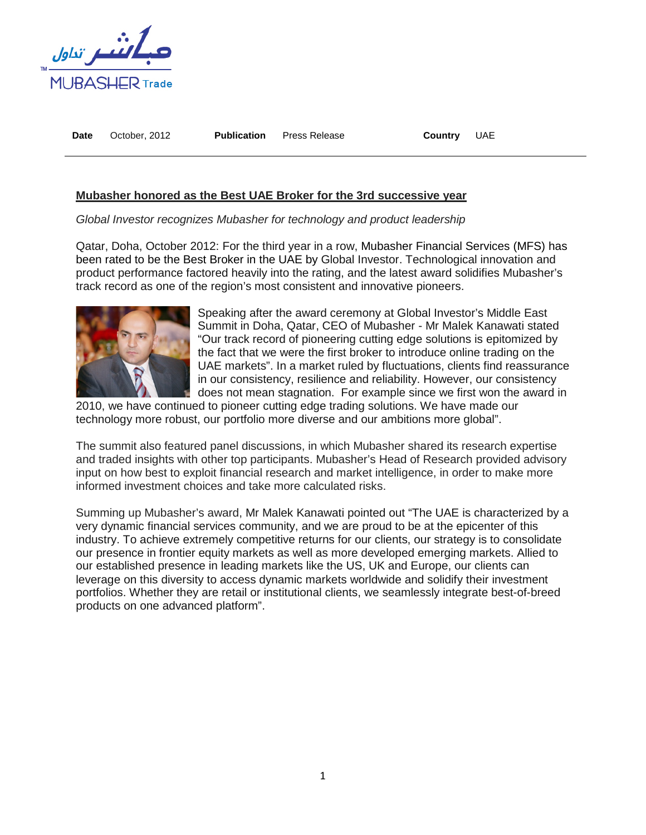

**Date** October, 2012 **Publication** Press Release **Country** UAE

## **Mubasher honored as the Best UAE Broker for the 3rd successive year**

*Global Investor recognizes Mubasher for technology and product leadership*

Qatar, Doha, October 2012: For the third year in a row, Mubasher Financial Services (MFS) has been rated to be the Best Broker in the UAE by Global Investor. Technological innovation and product performance factored heavily into the rating, and the latest award solidifies Mubasher's track record as one of the region's most consistent and innovative pioneers.



Speaking after the award ceremony at Global Investor's Middle East Summit in Doha, Qatar, CEO of Mubasher - Mr Malek Kanawati stated "Our track record of pioneering cutting edge solutions is epitomized by the fact that we were the first broker to introduce online trading on the UAE markets". In a market ruled by fluctuations, clients find reassurance in our consistency, resilience and reliability. However, our consistency does not mean stagnation. For example since we first won the award in

2010, we have continued to pioneer cutting edge trading solutions. We have made our technology more robust, our portfolio more diverse and our ambitions more global".

The summit also featured panel discussions, in which Mubasher shared its research expertise and traded insights with other top participants. Mubasher's Head of Research provided advisory input on how best to exploit financial research and market intelligence, in order to make more informed investment choices and take more calculated risks.

Summing up Mubasher's award, Mr Malek Kanawati pointed out "The UAE is characterized by a very dynamic financial services community, and we are proud to be at the epicenter of this industry. To achieve extremely competitive returns for our clients, our strategy is to consolidate our presence in frontier equity markets as well as more developed emerging markets. Allied to our established presence in leading markets like the US, UK and Europe, our clients can leverage on this diversity to access dynamic markets worldwide and solidify their investment portfolios. Whether they are retail or institutional clients, we seamlessly integrate best-of-breed products on one advanced platform".